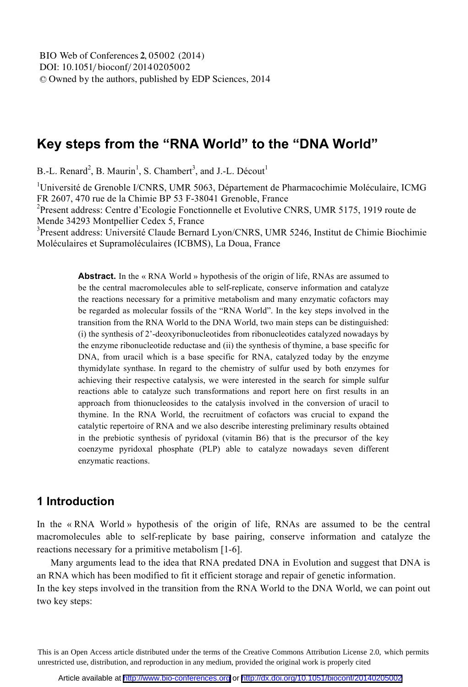# **Key steps from the "RNA World" to the "DNA World"**

B.-L. Renard<sup>2</sup>, B. Maurin<sup>1</sup>, S. Chambert<sup>3</sup>, and J.-L. Décout<sup>1</sup>

<sup>1</sup>Université de Grenoble I/CNRS, UMR 5063, Département de Pharmacochimie Moléculaire, ICMG FR 2607, 470 rue de la Chimie BP 53 F-38041 Grenoble, France Present address: Centre d'Ecologie Fonctionnelle et Evolutive CNRS, UMR 5175, 1919 route de Mende 34293 Montpellier Cedex 5, France

<sup>3</sup>Present address: Université Claude Bernard Lyon/CNRS, UMR 5246, Institut de Chimie Biochimie Moléculaires et Supramoléculaires (ICBMS), La Doua, France

> **Abstract.** In the « RNA World » hypothesis of the origin of life, RNAs are assumed to be the central macromolecules able to self-replicate, conserve information and catalyze the reactions necessary for a primitive metabolism and many enzymatic cofactors may be regarded as molecular fossils of the "RNA World". In the key steps involved in the transition from the RNA World to the DNA World, two main steps can be distinguished: (i) the synthesis of 2'-deoxyribonucleotides from ribonucleotides catalyzed nowadays by the enzyme ribonucleotide reductase and (ii) the synthesis of thymine, a base specific for DNA, from uracil which is a base specific for RNA, catalyzed today by the enzyme thymidylate synthase. In regard to the chemistry of sulfur used by both enzymes for achieving their respective catalysis, we were interested in the search for simple sulfur reactions able to catalyze such transformations and report here on first results in an approach from thionucleosides to the catalysis involved in the conversion of uracil to thymine. In the RNA World, the recruitment of cofactors was crucial to expand the catalytic repertoire of RNA and we also describe interesting preliminary results obtained in the prebiotic synthesis of pyridoxal (vitamin B6) that is the precursor of the key coenzyme pyridoxal phosphate (PLP) able to catalyze nowadays seven different enzymatic reactions.

## **1 Introduction**

In the « RNA World » hypothesis of the origin of life, RNAs are assumed to be the central macromolecules able to self-replicate by base pairing, conserve information and catalyze the reactions necessary for a primitive metabolism [1-6].

Many arguments lead to the idea that RNA predated DNA in Evolution and suggest that DNA is an RNA which has been modified to fit it efficient storage and repair of genetic information.

In the key steps involved in the transition from the RNA World to the DNA World, we can point out two key steps:

This is an Open Access article distributed under the terms of the Creative Commons Attribution License 2.0, which permits unrestricted use, distribution, and reproduction in any medium, provided the original work is properly cited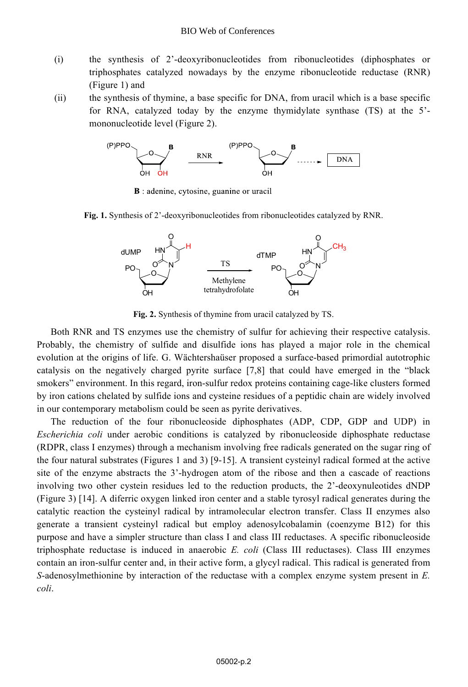- (i) the synthesis of 2'-deoxyribonucleotides from ribonucleotides (diphosphates or triphosphates catalyzed nowadays by the enzyme ribonucleotide reductase (RNR) (Figure 1) and
- (ii) the synthesis of thymine, a base specific for DNA, from uracil which is a base specific for RNA, catalyzed today by the enzyme thymidylate synthase (TS) at the 5' mononucleotide level (Figure 2).



**B** : adenine, cytosine, guanine or uracil

**Fig. 1.** Synthesis of 2'-deoxyribonucleotides from ribonucleotides catalyzed by RNR.



**Fig. 2.** Synthesis of thymine from uracil catalyzed by TS.

Both RNR and TS enzymes use the chemistry of sulfur for achieving their respective catalysis. Probably, the chemistry of sulfide and disulfide ions has played a major role in the chemical evolution at the origins of life. G. Wächtershaüser proposed a surface-based primordial autotrophic catalysis on the negatively charged pyrite surface [7,8] that could have emerged in the "black smokers" environment. In this regard, iron-sulfur redox proteins containing cage-like clusters formed by iron cations chelated by sulfide ions and cysteine residues of a peptidic chain are widely involved in our contemporary metabolism could be seen as pyrite derivatives.

The reduction of the four ribonucleoside diphosphates (ADP, CDP, GDP and UDP) in *Escherichia coli* under aerobic conditions is catalyzed by ribonucleoside diphosphate reductase (RDPR, class I enzymes) through a mechanism involving free radicals generated on the sugar ring of the four natural substrates (Figures 1 and 3) [9-15]. A transient cysteinyl radical formed at the active site of the enzyme abstracts the 3'-hydrogen atom of the ribose and then a cascade of reactions involving two other cystein residues led to the reduction products, the 2'-deoxynuleotides dNDP (Figure 3) [14]. A diferric oxygen linked iron center and a stable tyrosyl radical generates during the catalytic reaction the cysteinyl radical by intramolecular electron transfer. Class II enzymes also generate a transient cysteinyl radical but employ adenosylcobalamin (coenzyme B12) for this purpose and have a simpler structure than class I and class III reductases. A specific ribonucleoside triphosphate reductase is induced in anaerobic *E. coli* (Class III reductases). Class III enzymes contain an iron-sulfur center and, in their active form, a glycyl radical. This radical is generated from *S*-adenosylmethionine by interaction of the reductase with a complex enzyme system present in *E. coli*.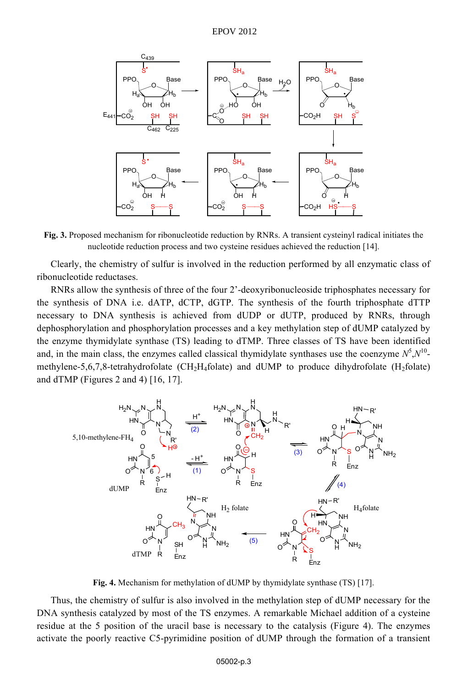

**Fig. 3.** Proposed mechanism for ribonucleotide reduction by RNRs. A transient cysteinyl radical initiates the nucleotide reduction process and two cysteine residues achieved the reduction [14].

Clearly, the chemistry of sulfur is involved in the reduction performed by all enzymatic class of ribonucleotide reductases.

RNRs allow the synthesis of three of the four 2'-deoxyribonucleoside triphosphates necessary for the synthesis of DNA i.e. dATP, dCTP, dGTP. The synthesis of the fourth triphosphate dTTP necessary to DNA synthesis is achieved from dUDP or dUTP, produced by RNRs, through dephosphorylation and phosphorylation processes and a key methylation step of dUMP catalyzed by the enzyme thymidylate synthase (TS) leading to dTMP. Three classes of TS have been identified and, in the main class, the enzymes called classical thymidylate synthases use the coenzyme  $N^5$ , $N^{10}$ methylene-5,6,7,8-tetrahydrofolate (CH<sub>2</sub>H<sub>4</sub>folate) and dUMP to produce dihydrofolate (H<sub>2</sub>folate) and dTMP (Figures 2 and 4) [16, 17].



**Fig. 4.** Mechanism for methylation of dUMP by thymidylate synthase (TS) [17].

Thus, the chemistry of sulfur is also involved in the methylation step of dUMP necessary for the DNA synthesis catalyzed by most of the TS enzymes. A remarkable Michael addition of a cysteine residue at the 5 position of the uracil base is necessary to the catalysis (Figure 4). The enzymes activate the poorly reactive C5-pyrimidine position of dUMP through the formation of a transient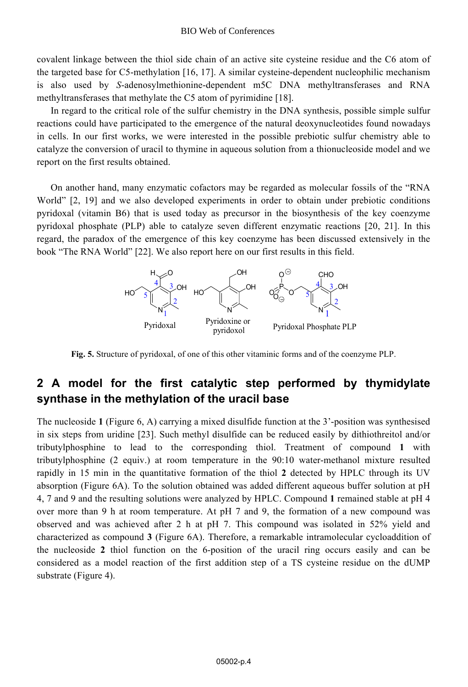covalent linkage between the thiol side chain of an active site cysteine residue and the C6 atom of the targeted base for C5-methylation [16, 17]. A similar cysteine-dependent nucleophilic mechanism is also used by *S*-adenosylmethionine-dependent m5C DNA methyltransferases and RNA methyltransferases that methylate the C5 atom of pyrimidine [18].

In regard to the critical role of the sulfur chemistry in the DNA synthesis, possible simple sulfur reactions could have participated to the emergence of the natural deoxynucleotides found nowadays in cells. In our first works, we were interested in the possible prebiotic sulfur chemistry able to catalyze the conversion of uracil to thymine in aqueous solution from a thionucleoside model and we report on the first results obtained.

On another hand, many enzymatic cofactors may be regarded as molecular fossils of the "RNA World" [2, 19] and we also developed experiments in order to obtain under prebiotic conditions pyridoxal (vitamin B6) that is used today as precursor in the biosynthesis of the key coenzyme pyridoxal phosphate (PLP) able to catalyze seven different enzymatic reactions [20, 21]. In this regard, the paradox of the emergence of this key coenzyme has been discussed extensively in the book "The RNA World" [22]. We also report here on our first results in this field.



**Fig. 5.** Structure of pyridoxal, of one of this other vitaminic forms and of the coenzyme PLP.

## **2 A model for the first catalytic step performed by thymidylate synthase in the methylation of the uracil base**

The nucleoside **1** (Figure 6, A) carrying a mixed disulfide function at the 3'-position was synthesised in six steps from uridine [23]. Such methyl disulfide can be reduced easily by dithiothreitol and/or tributylphosphine to lead to the corresponding thiol. Treatment of compound **1** with tributylphosphine (2 equiv.) at room temperature in the 90:10 water-methanol mixture resulted rapidly in 15 min in the quantitative formation of the thiol **2** detected by HPLC through its UV absorption (Figure 6A). To the solution obtained was added different aqueous buffer solution at pH 4, 7 and 9 and the resulting solutions were analyzed by HPLC. Compound **1** remained stable at pH 4 over more than 9 h at room temperature. At pH 7 and 9, the formation of a new compound was observed and was achieved after 2 h at pH 7. This compound was isolated in 52% yield and characterized as compound **3** (Figure 6A). Therefore, a remarkable intramolecular cycloaddition of the nucleoside **2** thiol function on the 6-position of the uracil ring occurs easily and can be considered as a model reaction of the first addition step of a TS cysteine residue on the dUMP substrate (Figure 4).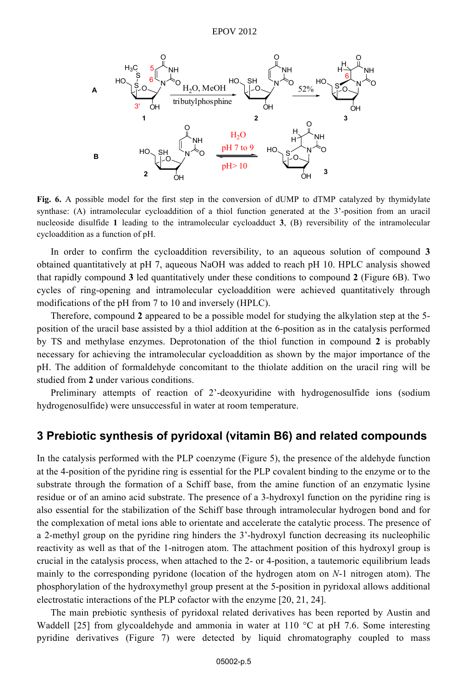#### EPOV 2012



**Fig. 6.** A possible model for the first step in the conversion of dUMP to dTMP catalyzed by thymidylate synthase: (A) intramolecular cycloaddition of a thiol function generated at the 3'-position from an uracil nucleoside disulfide **1** leading to the intramolecular cycloadduct **3**, (B) reversibility of the intramolecular cycloaddition as a function of pH.

In order to confirm the cycloaddition reversibility, to an aqueous solution of compound **3** obtained quantitatively at pH 7, aqueous NaOH was added to reach pH 10. HPLC analysis showed that rapidly compound **3** led quantitatively under these conditions to compound **2** (Figure 6B). Two cycles of ring-opening and intramolecular cycloaddition were achieved quantitatively through modifications of the pH from 7 to 10 and inversely (HPLC).

Therefore, compound **2** appeared to be a possible model for studying the alkylation step at the 5 position of the uracil base assisted by a thiol addition at the 6-position as in the catalysis performed by TS and methylase enzymes. Deprotonation of the thiol function in compound **2** is probably necessary for achieving the intramolecular cycloaddition as shown by the major importance of the pH. The addition of formaldehyde concomitant to the thiolate addition on the uracil ring will be studied from **2** under various conditions.

Preliminary attempts of reaction of 2'-deoxyuridine with hydrogenosulfide ions (sodium hydrogenosulfide) were unsuccessful in water at room temperature.

### **3 Prebiotic synthesis of pyridoxal (vitamin B6) and related compounds**

In the catalysis performed with the PLP coenzyme (Figure 5), the presence of the aldehyde function at the 4-position of the pyridine ring is essential for the PLP covalent binding to the enzyme or to the substrate through the formation of a Schiff base, from the amine function of an enzymatic lysine residue or of an amino acid substrate. The presence of a 3-hydroxyl function on the pyridine ring is also essential for the stabilization of the Schiff base through intramolecular hydrogen bond and for the complexation of metal ions able to orientate and accelerate the catalytic process. The presence of a 2-methyl group on the pyridine ring hinders the 3'-hydroxyl function decreasing its nucleophilic reactivity as well as that of the 1-nitrogen atom. The attachment position of this hydroxyl group is crucial in the catalysis process, when attached to the 2- or 4-position, a tautemoric equilibrium leads mainly to the corresponding pyridone (location of the hydrogen atom on *N*-1 nitrogen atom). The phosphorylation of the hydroxymethyl group present at the 5-position in pyridoxal allows additional electrostatic interactions of the PLP cofactor with the enzyme [20, 21, 24].

The main prebiotic synthesis of pyridoxal related derivatives has been reported by Austin and Waddell [25] from glycoaldehyde and ammonia in water at 110  $^{\circ}$ C at pH 7.6. Some interesting pyridine derivatives (Figure 7) were detected by liquid chromatography coupled to mass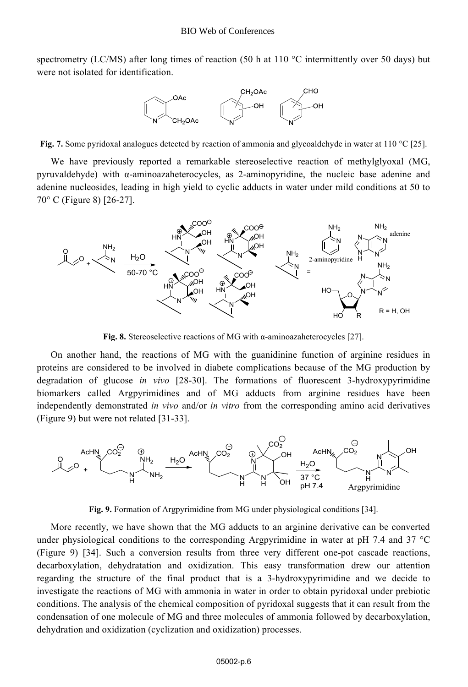spectrometry (LC/MS) after long times of reaction (50 h at 110  $^{\circ}$ C intermittently over 50 days) but were not isolated for identification.



**Fig. 7.** Some pyridoxal analogues detected by reaction of ammonia and glycoaldehyde in water at 110 °C [25].

We have previously reported a remarkable stereoselective reaction of methylglyoxal (MG, pyruvaldehyde) with α-aminoazaheterocycles, as 2-aminopyridine, the nucleic base adenine and adenine nucleosides, leading in high yield to cyclic adducts in water under mild conditions at 50 to 70° C (Figure 8) [26-27].



**Fig. 8.** Stereoselective reactions of MG with α-aminoazaheterocycles [27].

On another hand, the reactions of MG with the guanidinine function of arginine residues in proteins are considered to be involved in diabete complications because of the MG production by degradation of glucose *in vivo* [28-30]. The formations of fluorescent 3-hydroxypyrimidine biomarkers called Argpyrimidines and of MG adducts from arginine residues have been independently demonstrated *in vivo* and/or *in vitro* from the corresponding amino acid derivatives (Figure 9) but were not related [31-33].



**Fig. 9.** Formation of Argpyrimidine from MG under physiological conditions [34].

More recently, we have shown that the MG adducts to an arginine derivative can be converted under physiological conditions to the corresponding Argpyrimidine in water at pH 7.4 and 37 °C (Figure 9) [34]. Such a conversion results from three very different one-pot cascade reactions, decarboxylation, dehydratation and oxidization. This easy transformation drew our attention regarding the structure of the final product that is a 3-hydroxypyrimidine and we decide to investigate the reactions of MG with ammonia in water in order to obtain pyridoxal under prebiotic conditions. The analysis of the chemical composition of pyridoxal suggests that it can result from the condensation of one molecule of MG and three molecules of ammonia followed by decarboxylation, dehydration and oxidization (cyclization and oxidization) processes.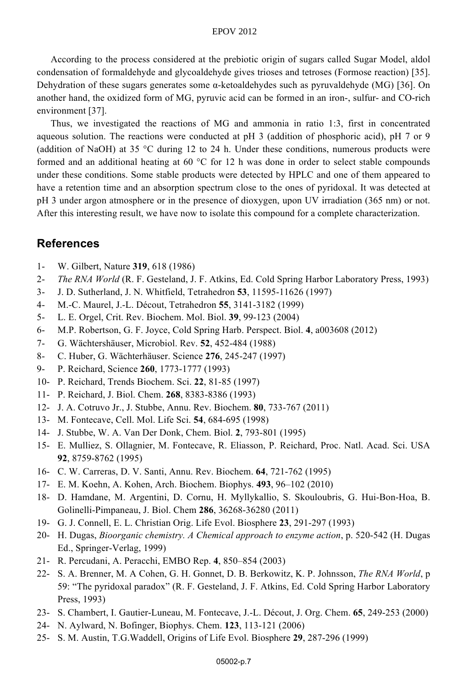#### EPOV 2012

According to the process considered at the prebiotic origin of sugars called Sugar Model, aldol condensation of formaldehyde and glycoaldehyde gives trioses and tetroses (Formose reaction) [35]. Dehydration of these sugars generates some  $\alpha$ -ketoaldehydes such as pyruvaldehyde (MG) [36]. On another hand, the oxidized form of MG, pyruvic acid can be formed in an iron-, sulfur- and CO-rich environment [37].

Thus, we investigated the reactions of MG and ammonia in ratio 1:3, first in concentrated aqueous solution. The reactions were conducted at pH 3 (addition of phosphoric acid), pH 7 or 9 (addition of NaOH) at 35 °C during 12 to 24 h. Under these conditions, numerous products were formed and an additional heating at 60 °C for 12 h was done in order to select stable compounds under these conditions. Some stable products were detected by HPLC and one of them appeared to have a retention time and an absorption spectrum close to the ones of pyridoxal. It was detected at pH 3 under argon atmosphere or in the presence of dioxygen, upon UV irradiation (365 nm) or not. After this interesting result, we have now to isolate this compound for a complete characterization.

### **References**

- 1- W. Gilbert, Nature **319**, 618 (1986)
- 2- *The RNA World* (R. F. Gesteland, J. F. Atkins, Ed. Cold Spring Harbor Laboratory Press, 1993)
- 3- J. D. Sutherland, J. N. Whitfield, Tetrahedron **53**, 11595-11626 (1997)
- 4- M.-C. Maurel, J.-L. Décout, Tetrahedron **55**, 3141-3182 (1999)
- 5- L. E. Orgel, Crit. Rev. Biochem. Mol. Biol. **39**, 99-123 (2004)
- 6- M.P. Robertson, G. F. Joyce, Cold Spring Harb. Perspect. Biol. **4**, a003608 (2012)
- 7- G. Wächtershäuser, Microbiol. Rev. **52**, 452-484 (1988)
- 8- C. Huber, G. Wächterhäuser. Science **276**, 245-247 (1997)
- 9- P. Reichard, Science **260**, 1773-1777 (1993)
- 10- P. Reichard, Trends Biochem. Sci. **22**, 81-85 (1997)
- 11- P. Reichard, J. Biol. Chem. **268**, 8383-8386 (1993)
- 12- J. A. Cotruvo Jr., J. Stubbe, Annu. Rev. Biochem. **80**, 733-767 (2011)
- 13- M. Fontecave, Cell. Mol. Life Sci. **54**, 684-695 (1998)
- 14- J. Stubbe, W. A. Van Der Donk, Chem. Biol. **2**, 793-801 (1995)
- 15- E. Mulliez, S. Ollagnier, M. Fontecave, R. Eliasson, P. Reichard, Proc. Natl. Acad. Sci. USA **92**, 8759-8762 (1995)
- 16- C. W. Carreras, D. V. Santi, Annu. Rev. Biochem. **64**, 721-762 (1995)
- 17- E. M. Koehn, A. Kohen, Arch. Biochem. Biophys. **493**, 96–102 (2010)
- 18- D. Hamdane, M. Argentini, D. Cornu, H. Myllykallio, S. Skouloubris, G. Hui-Bon-Hoa, B. Golinelli-Pimpaneau, J. Biol. Chem **286**, 36268-36280 (2011)
- 19- G. J. Connell, E. L. Christian Orig. Life Evol. Biosphere **23**, 291-297 (1993)
- 20- H. Dugas, *Bioorganic chemistry. A Chemical approach to enzyme action*, p. 520-542 (H. Dugas Ed., Springer-Verlag, 1999)
- 21- R. Percudani, A. Peracchi, EMBO Rep. **4**, 850–854 (2003)
- 22- S. A. Brenner, M. A Cohen, G. H. Gonnet, D. B. Berkowitz, K. P. Johnsson, *The RNA World*, p 59: "The pyridoxal paradox" (R. F. Gesteland, J. F. Atkins, Ed. Cold Spring Harbor Laboratory Press, 1993)
- 23- S. Chambert, I. Gautier-Luneau, M. Fontecave, J.-L. Décout, J. Org. Chem. **65**, 249-253 (2000)
- 24- N. Aylward, N. Bofinger, Biophys. Chem. **123**, 113-121 (2006)
- 25- S. M. Austin, T.G.Waddell, Origins of Life Evol. Biosphere **29**, 287-296 (1999)